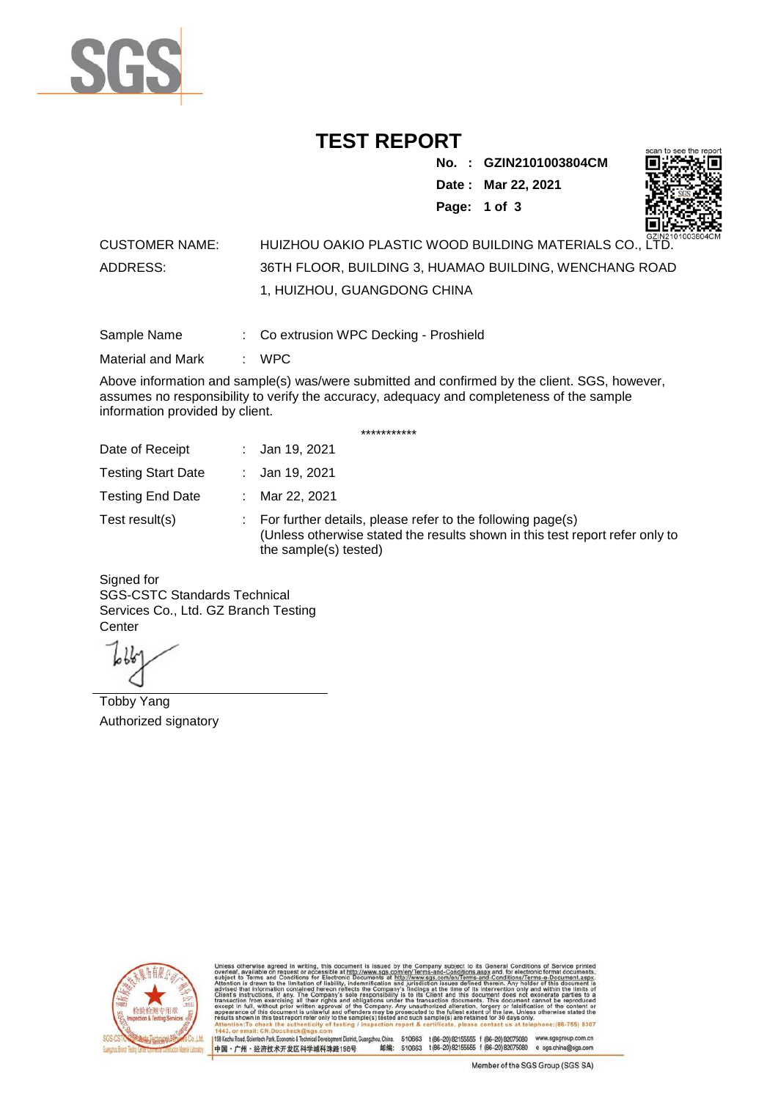

# **TEST REPORT**

**No. : GZIN2101003804CM**

**Date : Mar 22, 2021**



**Page: 1 of 3** 

### CUSTOMER NAME: HUIZHOU OAKIO PLASTIC WOOD BUILDING MATERIALS CO., LTD. ADDRESS: 36TH FLOOR, BUILDING 3, HUAMAO BUILDING, WENCHANG ROAD 1, HUIZHOU, GUANGDONG CHINA

Sample Name : Co extrusion WPC Decking - Proshield

Material and Mark : WPC

Above information and sample(s) was/were submitted and confirmed by the client. SGS, however, assumes no responsibility to verify the accuracy, adequacy and completeness of the sample information provided by client.

\*\*\*\*\*\*\*\*\*\*\*

| Date of Receipt           |    | : Jan 19, 2021                                                                                                                                                        |
|---------------------------|----|-----------------------------------------------------------------------------------------------------------------------------------------------------------------------|
| <b>Testing Start Date</b> |    | : Jan 19, 2021                                                                                                                                                        |
| <b>Testing End Date</b>   | ÷. | Mar 22, 2021                                                                                                                                                          |
| Test result(s)            |    | : For further details, please refer to the following page(s)<br>(Unless otherwise stated the results shown in this test report refer only to<br>the sample(s) tested) |

Signed for SGS-CSTC Standards Technical Services Co., Ltd. GZ Branch Testing **Center** 

Tobby Yang Authorized signatory



510663 t(86-20) 82155555 f (86-20) 82075080 www.sgsgroup.com.cn<br>510663 t(86-20) 82155555 f (86-20) 82075080 e sgs.china@sgs.com 198 Kezhu Road, Scientech Park, Eco nomic & Technical Devel tou, China. ant District C 邮编: 中国·广州·经济技术开发区科学城科珠路198号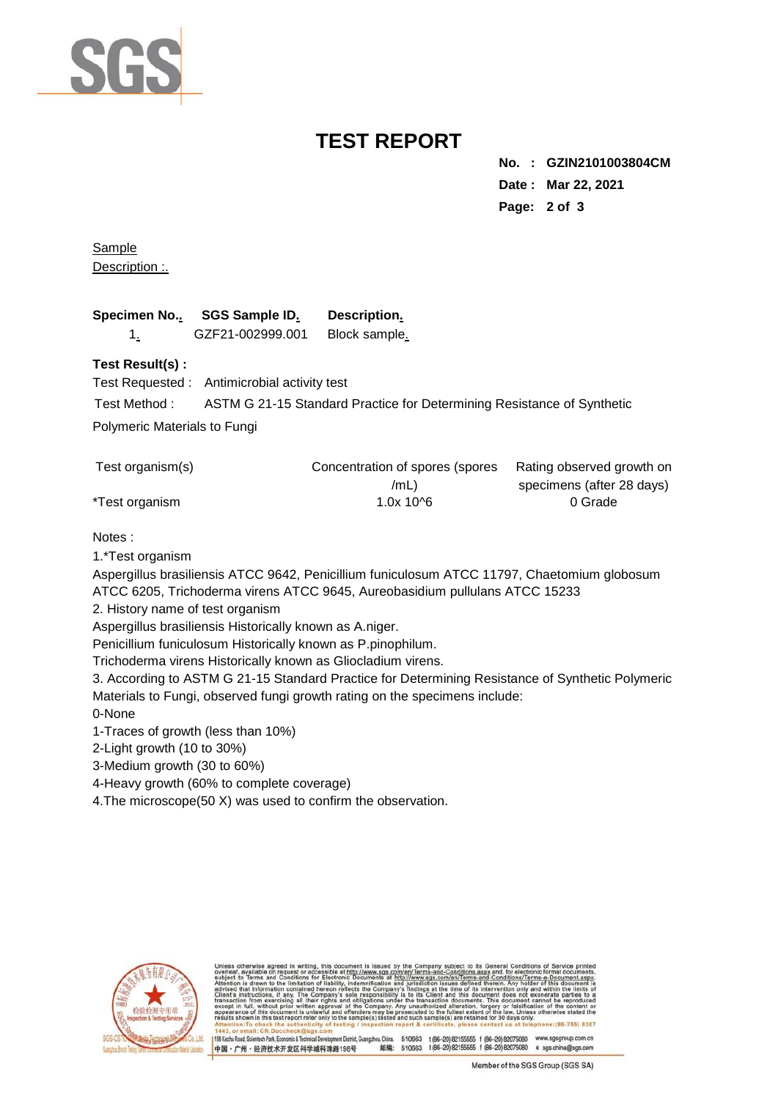

# **TEST REPORT**

**No. : GZIN2101003804CM Date : Mar 22, 2021 Page: 2 of 3** 

**Sample** Description :.

| Specimen No SGS Sample ID. | Description.  |
|----------------------------|---------------|
| GZF21-002999.001           | Block sample. |

#### **Test Result(s) :**

Test Requested : Antimicrobial activity test

Test Method : ASTM G 21-15 Standard Practice for Determining Resistance of Synthetic

Polymeric Materials to Fungi

| Test organism(s) | Concentration of spores (spores | Rating observed growth on |
|------------------|---------------------------------|---------------------------|
|                  | /mL)                            | specimens (after 28 days) |
| *Test organism   | $1.0x$ 10^6                     | 0 Grade                   |

#### Notes :

1.\*Test organism

Aspergillus brasiliensis ATCC 9642, Penicillium funiculosum ATCC 11797, Chaetomium globosum ATCC 6205, Trichoderma virens ATCC 9645, Aureobasidium pullulans ATCC 15233

2. History name of test organism

Aspergillus brasiliensis Historically known as A.niger.

Penicillium funiculosum Historically known as P.pinophilum.

Trichoderma virens Historically known as Gliocladium virens.

3. According to ASTM G 21-15 Standard Practice for Determining Resistance of Synthetic Polymeric Materials to Fungi, observed fungi growth rating on the specimens include:

0-None

1-Traces of growth (less than 10%)

2-Light growth (10 to 30%)

3-Medium growth (30 to 60%)

4-Heavy growth (60% to complete coverage)

4.The microscope(50 X) was used to confirm the observation.



ent District, Guangzhou, China. 510663 t (86-20) 82155555 f (86-20) 82075080 w.sasaroup.com.cn 198 Kezhu Road, Scientech Park, Fonnomic & Technical Devel 邮编: 510663 1(86-20) 82155555 f (86-20) 82075080 e sgs.china@sgs.com 中国·广州·经济技术开发区科学城科珠路198号